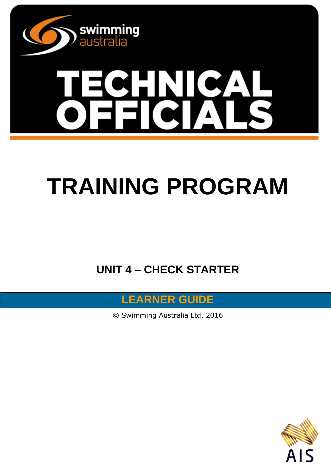

# **TRAINING PROGRAM**

**UNIT 4 – CHECK STARTER** 



© Swimming Australia Ltd. 2016

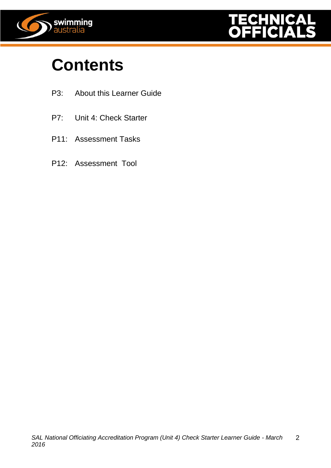



# **Contents**

- P3: About this Learner Guide
- P7: Unit 4: Check Starter
- P11: Assessment Tasks
- P12: Assessment Tool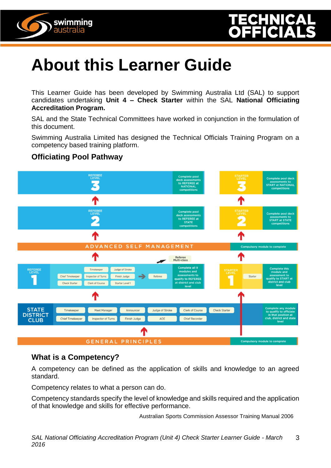



## **About this Learner Guide**

This Learner Guide has been developed by Swimming Australia Ltd (SAL) to support candidates undertaking **Unit 4 – Check Starter** within the SAL **National Officiating Accreditation Program.**

SAL and the State Technical Committees have worked in conjunction in the formulation of this document.

Swimming Australia Limited has designed the Technical Officials Training Program on a competency based training platform.

### **Officiating Pool Pathway**



### **What is a Competency?**

A competency can be defined as the application of skills and knowledge to an agreed standard.

Competency relates to what a person can do.

Competency standards specify the level of knowledge and skills required and the application of that knowledge and skills for effective performance.

Australian Sports Commission Assessor Training Manual 2006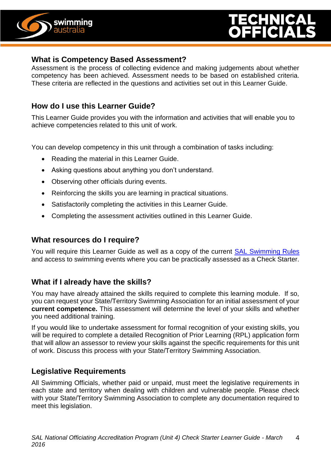

### **What is Competency Based Assessment?**

Assessment is the process of collecting evidence and making judgements about whether competency has been achieved. Assessment needs to be based on established criteria. These criteria are reflected in the questions and activities set out in this Learner Guide.

### **How do I use this Learner Guide?**

This Learner Guide provides you with the information and activities that will enable you to achieve competencies related to this unit of work.

You can develop competency in this unit through a combination of tasks including:

- Reading the material in this Learner Guide.
- Asking questions about anything you don't understand.
- Observing other officials during events.
- Reinforcing the skills you are learning in practical situations.
- Satisfactorily completing the activities in this Learner Guide.
- Completing the assessment activities outlined in this Learner Guide.

### **What resources do I require?**

You will require this Learner Guide as well as a copy of the current [SAL Swimming Rules](http://www.swimming.org.au/visageimages/1_SAL/Rules/SAL%20Swimming%20Rules%20%20JAN%202014%20updated%2005.02.15.pdf) and access to swimming events where you can be practically assessed as a Check Starter.

### **What if I already have the skills?**

You may have already attained the skills required to complete this learning module. If so, you can request your State/Territory Swimming Association for an initial assessment of your **current competence.** This assessment will determine the level of your skills and whether you need additional training.

If you would like to undertake assessment for formal recognition of your existing skills, you will be required to complete a detailed Recognition of Prior Learning (RPL) application form that will allow an assessor to review your skills against the specific requirements for this unit of work. Discuss this process with your State/Territory Swimming Association.

### **Legislative Requirements**

All Swimming Officials, whether paid or unpaid, must meet the legislative requirements in each state and territory when dealing with children and vulnerable people. Please check with your State/Territory Swimming Association to complete any documentation required to meet this legislation.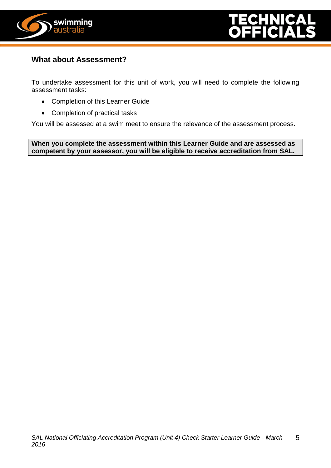



### **What about Assessment?**

To undertake assessment for this unit of work, you will need to complete the following assessment tasks:

- Completion of this Learner Guide
- Completion of practical tasks

You will be assessed at a swim meet to ensure the relevance of the assessment process.

**When you complete the assessment within this Learner Guide and are assessed as competent by your assessor, you will be eligible to receive accreditation from SAL.**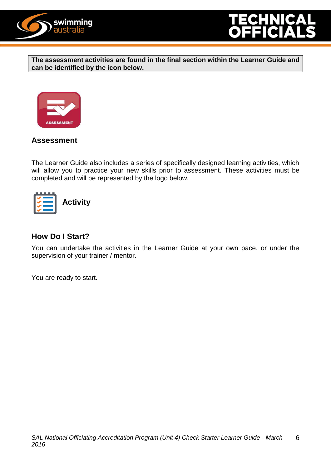



**The assessment activities are found in the final section within the Learner Guide and can be identified by the icon below.**



### **Assessment**

The Learner Guide also includes a series of specifically designed learning activities, which will allow you to practice your new skills prior to assessment. These activities must be completed and will be represented by the logo below.



### **How Do I Start?**

You can undertake the activities in the Learner Guide at your own pace, or under the supervision of your trainer / mentor.

You are ready to start.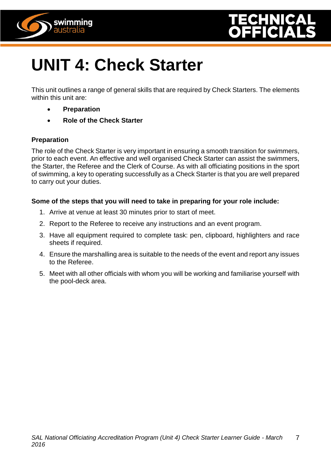



# **UNIT 4: Check Starter**

This unit outlines a range of general skills that are required by Check Starters. The elements within this unit are:

- **Preparation**
- **Role of the Check Starter**

### **Preparation**

The role of the Check Starter is very important in ensuring a smooth transition for swimmers, prior to each event. An effective and well organised Check Starter can assist the swimmers, the Starter, the Referee and the Clerk of Course. As with all officiating positions in the sport of swimming, a key to operating successfully as a Check Starter is that you are well prepared to carry out your duties.

### **Some of the steps that you will need to take in preparing for your role include:**

- 1. Arrive at venue at least 30 minutes prior to start of meet.
- 2. Report to the Referee to receive any instructions and an event program.
- 3. Have all equipment required to complete task: pen, clipboard, highlighters and race sheets if required.
- 4. Ensure the marshalling area is suitable to the needs of the event and report any issues to the Referee.
- 5. Meet with all other officials with whom you will be working and familiarise yourself with the pool-deck area.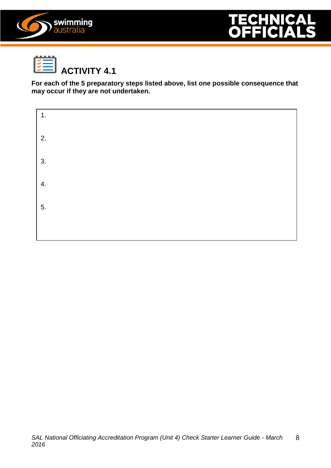





**For each of the 5 preparatory steps listed above, list one possible consequence that may occur if they are not undertaken.**

| 1. |  |  |
|----|--|--|
| 2. |  |  |
| 3. |  |  |
| 4. |  |  |
| 5. |  |  |
|    |  |  |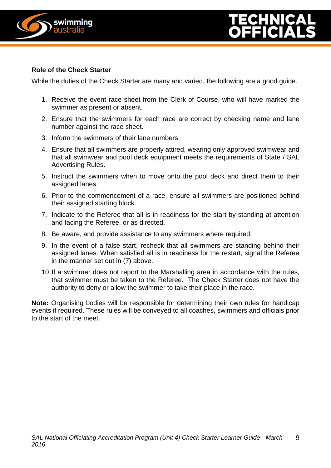

### **Role of the Check Starter**

While the duties of the Check Starter are many and varied, the following are a good guide.

- 1. Receive the event race sheet from the Clerk of Course, who will have marked the swimmer as present or absent.
- 2. Ensure that the swimmers for each race are correct by checking name and lane number against the race sheet.
- 3. Inform the swimmers of their lane numbers.
- 4. Ensure that all swimmers are properly attired, wearing only approved swimwear and that all swimwear and pool deck equipment meets the requirements of State / SAL Advertising Rules.
- 5. Instruct the swimmers when to move onto the pool deck and direct them to their assigned lanes.
- 6. Prior to the commencement of a race, ensure all swimmers are positioned behind their assigned starting block.
- 7. Indicate to the Referee that all is in readiness for the start by standing at attention and facing the Referee, or as directed.
- 8. Be aware, and provide assistance to any swimmers where required.
- 9. In the event of a false start, recheck that all swimmers are standing behind their assigned lanes. When satisfied all is in readiness for the restart, signal the Referee in the manner set out in (7) above.
- 10.If a swimmer does not report to the Marshalling area in accordance with the rules, that swimmer must be taken to the Referee. The Check Starter does not have the authority to deny or allow the swimmer to take their place in the race.

**Note:** Organising bodies will be responsible for determining their own rules for handicap events if required. These rules will be conveyed to all coaches, swimmers and officials prior to the start of the meet.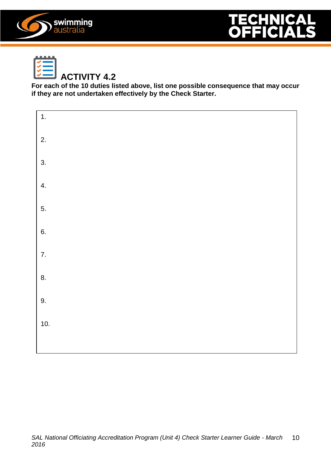





## **ACTIVITY 4.2**

**For each of the 10 duties listed above, list one possible consequence that may occur if they are not undertaken effectively by the Check Starter.**

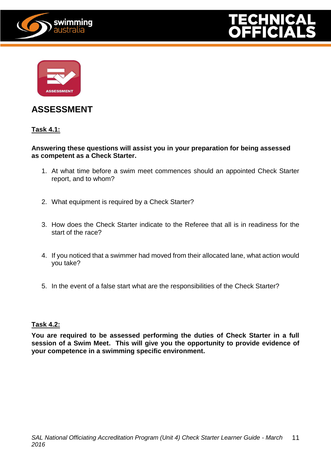





### **ASSESSMENT**

### **Task 4.1:**

#### **Answering these questions will assist you in your preparation for being assessed as competent as a Check Starter.**

- 1. At what time before a swim meet commences should an appointed Check Starter report, and to whom?
- 2. What equipment is required by a Check Starter?
- 3. How does the Check Starter indicate to the Referee that all is in readiness for the start of the race?
- 4. If you noticed that a swimmer had moved from their allocated lane, what action would you take?
- 5. In the event of a false start what are the responsibilities of the Check Starter?

#### **Task 4.2:**

**You are required to be assessed performing the duties of Check Starter in a full session of a Swim Meet. This will give you the opportunity to provide evidence of your competence in a swimming specific environment.**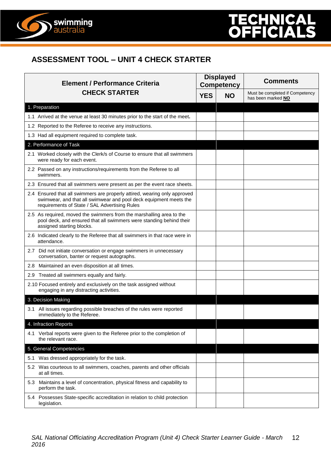

# $(\bullet, \bullet)$

### **ASSESSMENT TOOL – UNIT 4 CHECK STARTER**

| <b>Element / Performance Criteria</b><br><b>CHECK STARTER</b>                                                                                                                                   |  | <b>Displayed</b><br><b>Competency</b> | <b>Comments</b>                                       |
|-------------------------------------------------------------------------------------------------------------------------------------------------------------------------------------------------|--|---------------------------------------|-------------------------------------------------------|
|                                                                                                                                                                                                 |  | <b>NO</b>                             | Must be completed if Competency<br>has been marked NO |
| 1. Preparation                                                                                                                                                                                  |  |                                       |                                                       |
| 1.1 Arrived at the venue at least 30 minutes prior to the start of the meet.                                                                                                                    |  |                                       |                                                       |
| 1.2 Reported to the Referee to receive any instructions.                                                                                                                                        |  |                                       |                                                       |
| 1.3 Had all equipment required to complete task.                                                                                                                                                |  |                                       |                                                       |
| 2. Performance of Task                                                                                                                                                                          |  |                                       |                                                       |
| 2.1 Worked closely with the Clerk/s of Course to ensure that all swimmers<br>were ready for each event.                                                                                         |  |                                       |                                                       |
| 2.2 Passed on any instructions/requirements from the Referee to all<br>swimmers.                                                                                                                |  |                                       |                                                       |
| 2.3 Ensured that all swimmers were present as per the event race sheets.                                                                                                                        |  |                                       |                                                       |
| 2.4 Ensured that all swimmers are properly attired, wearing only approved<br>swimwear, and that all swimwear and pool deck equipment meets the<br>requirements of State / SAL Advertising Rules |  |                                       |                                                       |
| 2.5 As required, moved the swimmers from the marshalling area to the<br>pool deck, and ensured that all swimmers were standing behind their<br>assigned starting blocks.                        |  |                                       |                                                       |
| 2.6 Indicated clearly to the Referee that all swimmers in that race were in<br>attendance.                                                                                                      |  |                                       |                                                       |
| 2.7 Did not initiate conversation or engage swimmers in unnecessary<br>conversation, banter or request autographs.                                                                              |  |                                       |                                                       |
| 2.8 Maintained an even disposition at all times.                                                                                                                                                |  |                                       |                                                       |
| Treated all swimmers equally and fairly.<br>2.9                                                                                                                                                 |  |                                       |                                                       |
| 2.10 Focused entirely and exclusively on the task assigned without<br>engaging in any distracting activities.                                                                                   |  |                                       |                                                       |
| 3. Decision Making                                                                                                                                                                              |  |                                       |                                                       |
| 3.1 All issues regarding possible breaches of the rules were reported<br>immediately to the Referee.                                                                                            |  |                                       |                                                       |
| 4. Infraction Reports                                                                                                                                                                           |  |                                       |                                                       |
| 4.1 Verbal reports were given to the Referee prior to the completion of<br>the relevant race.                                                                                                   |  |                                       |                                                       |
| 5. General Competencies                                                                                                                                                                         |  |                                       |                                                       |
| 5.1 Was dressed appropriately for the task.                                                                                                                                                     |  |                                       |                                                       |
| 5.2 Was courteous to all swimmers, coaches, parents and other officials<br>at all times.                                                                                                        |  |                                       |                                                       |
| 5.3 Maintains a level of concentration, physical fitness and capability to<br>perform the task.                                                                                                 |  |                                       |                                                       |
| 5.4 Possesses State-specific accreditation in relation to child protection<br>legislation.                                                                                                      |  |                                       |                                                       |